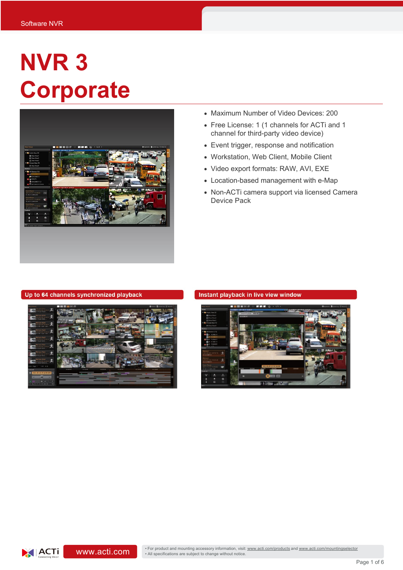# **NVR 3 Corporate**



- Maximum Number of Video Devices: 200
- Free License: 1 (1 channels for ACTi and 1 channel for third-party video device)
- Event trigger, response and notification
- Workstation, Web Client, Mobile Client
- Video export formats: RAW, AVI, EXE
- Location-based management with e-Map
- Non-ACTi camera support via licensed Camera Device Pack

#### Up to 64 channels synchronized playback



#### Instant playback in live view window

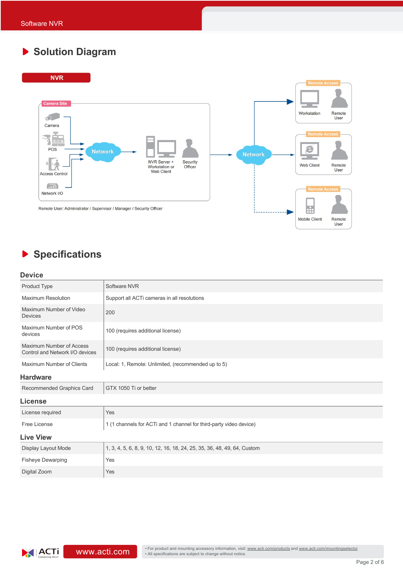# **Solution Diagram**



# **Specifications**

#### **Device**

| Product Type                                                | Software NVR                                                            |  |
|-------------------------------------------------------------|-------------------------------------------------------------------------|--|
| <b>Maximum Resolution</b>                                   | Support all ACTi cameras in all resolutions                             |  |
| Maximum Number of Video<br>Devices                          | 200                                                                     |  |
| Maximum Number of POS<br>devices                            | 100 (requires additional license)                                       |  |
| Maximum Number of Access<br>Control and Network I/O devices | 100 (requires additional license)                                       |  |
| Maximum Number of Clients                                   | Local: 1, Remote: Unlimited, (recommended up to 5)                      |  |
| <b>Hardware</b>                                             |                                                                         |  |
| Recommended Graphics Card                                   | GTX 1050 Ti or better                                                   |  |
| License                                                     |                                                                         |  |
| License required                                            | Yes                                                                     |  |
| Free License                                                | 1 (1 channels for ACTi and 1 channel for third-party video device)      |  |
| <b>Live View</b>                                            |                                                                         |  |
| Display Layout Mode                                         | 1, 3, 4, 5, 6, 8, 9, 10, 12, 16, 18, 24, 25, 35, 36, 48, 49, 64, Custom |  |
| <b>Fisheye Dewarping</b>                                    | Yes                                                                     |  |
| Digital Zoom                                                | Yes                                                                     |  |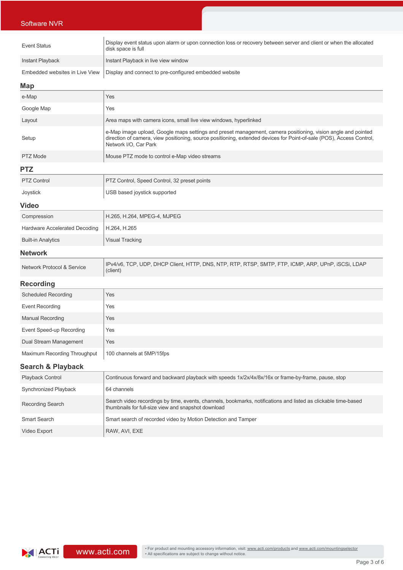### Software NVR

| <b>Event Status</b>            | Display event status upon alarm or upon connection loss or recovery between server and client or when the allocated<br>disk space is full                                                                                                                     |
|--------------------------------|---------------------------------------------------------------------------------------------------------------------------------------------------------------------------------------------------------------------------------------------------------------|
| <b>Instant Playback</b>        | Instant Playback in live view window                                                                                                                                                                                                                          |
| Embedded websites in Live View | Display and connect to pre-configured embedded website                                                                                                                                                                                                        |
| Map                            |                                                                                                                                                                                                                                                               |
| e-Map                          | Yes                                                                                                                                                                                                                                                           |
| Google Map                     | Yes                                                                                                                                                                                                                                                           |
| Layout                         | Area maps with camera icons, small live view windows, hyperlinked                                                                                                                                                                                             |
| Setup                          | e-Map image upload, Google maps settings and preset management, camera positioning, vision angle and pointed<br>direction of camera, view positioning, source positioning, extended devices for Point-of-sale (POS), Access Control,<br>Network I/O, Car Park |
| PTZ Mode                       | Mouse PTZ mode to control e-Map video streams                                                                                                                                                                                                                 |
| <b>PTZ</b>                     |                                                                                                                                                                                                                                                               |
| <b>PTZ Control</b>             | PTZ Control, Speed Control, 32 preset points                                                                                                                                                                                                                  |
| Joystick                       | USB based joystick supported                                                                                                                                                                                                                                  |
| <b>Video</b>                   |                                                                                                                                                                                                                                                               |
| Compression                    | H.265, H.264, MPEG-4, MJPEG                                                                                                                                                                                                                                   |
| Hardware Accelerated Decoding  | H.264, H.265                                                                                                                                                                                                                                                  |
| <b>Built-in Analytics</b>      | <b>Visual Tracking</b>                                                                                                                                                                                                                                        |
|                                |                                                                                                                                                                                                                                                               |

#### **Network**

| Network Protocol & Service | IPv4/v6, TCP, UDP, DHCP Client, HTTP, DNS, NTP, RTP, RTSP, SMTP, FTP, ICMP, ARP, UPnP, ISCSI, LDAP<br>(client) |
|----------------------------|----------------------------------------------------------------------------------------------------------------|
|----------------------------|----------------------------------------------------------------------------------------------------------------|

#### **Recording**

| <b>Scheduled Recording</b>   | Yes                       |
|------------------------------|---------------------------|
| <b>Event Recording</b>       | Yes                       |
| <b>Manual Recording</b>      | Yes                       |
| Event Speed-up Recording     | Yes                       |
| Dual Stream Management       | Yes                       |
| Maximum Recording Throughput | 100 channels at 5MP/15fps |

## **Search & Playback**

| <b>Playback Control</b> | Continuous forward and backward playback with speeds $1x/2x/4x/8x/16x$ or frame-by-frame, pause, stop                                                                 |
|-------------------------|-----------------------------------------------------------------------------------------------------------------------------------------------------------------------|
| Synchronized Playback   | 64 channels                                                                                                                                                           |
| Recording Search        | Search video recordings by time, events, channels, bookmarks, notifications and listed as clickable time-based<br>thumbnails for full-size view and snapshot download |
| Smart Search            | Smart search of recorded video by Motion Detection and Tamper                                                                                                         |
| Video Export            | RAW, AVI, EXE                                                                                                                                                         |

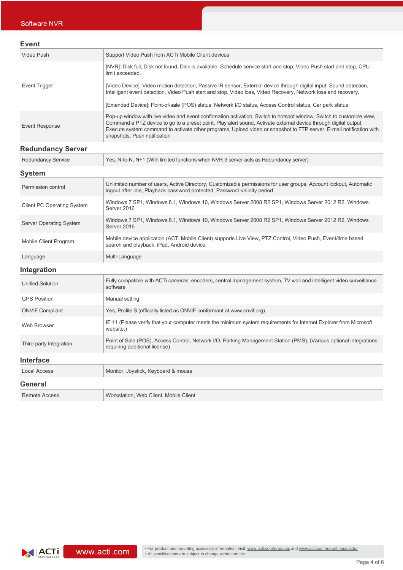| <b>Event</b>         |                                                                                                                                                                                                                                                                                                                                                                                                 |
|----------------------|-------------------------------------------------------------------------------------------------------------------------------------------------------------------------------------------------------------------------------------------------------------------------------------------------------------------------------------------------------------------------------------------------|
| Video Push           | Support Video Push from ACTI Mobile Client devices                                                                                                                                                                                                                                                                                                                                              |
|                      | [NVR]: Disk full, Disk not found, Disk is available, Schedule service start and stop, Video Push start and stop, CPU<br>limit exceeded.                                                                                                                                                                                                                                                         |
| <b>Event Trigger</b> | [Video Device]: Video motion detection, Passive IR sensor, External device through digital input, Sound detection,<br>Intelligent event detection, Video Push start and stop, Video loss, Video Recovery, Network loss and recovery.                                                                                                                                                            |
|                      | [Extended Device]: Point-of-sale (POS) status, Network I/O status, Access Control status, Car park status                                                                                                                                                                                                                                                                                       |
| Event Response       | Pop-up window with live video and event confirmation activation, Switch to hotspot window, Switch to customize view,<br>Command a PTZ device to go to a preset point, Play alert sound, Activate external device through digital output,<br>Execute system command to activate other programs, Upload video or snapshot to FTP server, E-mail notification with<br>snapshots, Push notification |

## **Redundancy Server**

| <b>Redundancy Service</b>         | Yes, N-to-N, N+1 (With limited functions when NVR 3 server acts as Redundancy server)                                                                                                         |  |
|-----------------------------------|-----------------------------------------------------------------------------------------------------------------------------------------------------------------------------------------------|--|
| <b>System</b>                     |                                                                                                                                                                                               |  |
| Permission control                | Unlimited number of users, Active Directory, Customizable permissions for user groups, Account lockout, Automatic<br>logout after idle, Playback password protected, Password validity period |  |
| <b>Client PC Operating System</b> | Windows 7 SP1, Windows 8.1, Windows 10, Windows Server 2008 R2 SP1, Windows Server 2012 R2, Windows<br>Server 2016                                                                            |  |
| <b>Server Operating System</b>    | Windows 7 SP1, Windows 8.1, Windows 10, Windows Server 2008 R2 SP1, Windows Server 2012 R2, Windows<br>Server 2016                                                                            |  |
| Mobile Client Program             | Mobile device application (ACTi Mobile Client) supports Live View, PTZ Control, Video Push, Event/time based<br>search and playback, iPad, Android device                                     |  |
| Language                          | Multi-Language                                                                                                                                                                                |  |
| Integration                       |                                                                                                                                                                                               |  |
| <b>Unified Solution</b>           | Fully compatible with ACTi cameras, encoders, central management system, TV wall and intelligent video surveillance<br>software                                                               |  |
| <b>GPS Position</b>               | Manual setting                                                                                                                                                                                |  |
| <b>ONVIF Compliant</b>            | Yes, Profile S (officially listed as ONVIF conformant at www.onvif.org)                                                                                                                       |  |
| Web Browser                       | IE 11 (Please verify that your computer meets the minimum system requirements for Internet Explorer from Microsoft<br>website.)                                                               |  |
| Third-party Integration           | Point of Sale (POS), Access Control, Network I/O, Parking Management Station (PMS), (Various optional integrations<br>requiring additional license)                                           |  |
| <b>Interface</b>                  |                                                                                                                                                                                               |  |
| <b>Local Access</b>               | Monitor, Joystick, Keyboard & mouse                                                                                                                                                           |  |
| General                           |                                                                                                                                                                                               |  |
| <b>Remote Access</b>              | Workstation, Web Client, Mobile Client                                                                                                                                                        |  |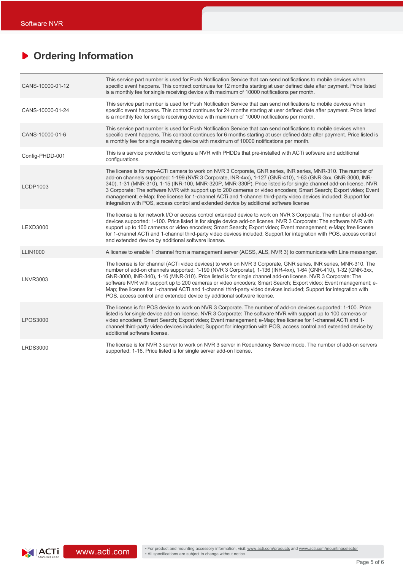# **Ordering Information**

| CANS-10000-01-12 | This service part number is used for Push Notification Service that can send notifications to mobile devices when<br>specific event happens. This contract continues for 12 months starting at user defined date after payment. Price listed<br>is a monthly fee for single receiving device with maximum of 10000 notifications per month.                                                                                                                                                                                                                                                                                                                                          |
|------------------|--------------------------------------------------------------------------------------------------------------------------------------------------------------------------------------------------------------------------------------------------------------------------------------------------------------------------------------------------------------------------------------------------------------------------------------------------------------------------------------------------------------------------------------------------------------------------------------------------------------------------------------------------------------------------------------|
| CANS-10000-01-24 | This service part number is used for Push Notification Service that can send notifications to mobile devices when<br>specific event happens. This contract continues for 24 months starting at user defined date after payment. Price listed<br>is a monthly fee for single receiving device with maximum of 10000 notifications per month.                                                                                                                                                                                                                                                                                                                                          |
| CANS-10000-01-6  | This service part number is used for Push Notification Service that can send notifications to mobile devices when<br>specific event happens. This contract continues for 6 months starting at user defined date after payment. Price listed is<br>a monthly fee for single receiving device with maximum of 10000 notifications per month.                                                                                                                                                                                                                                                                                                                                           |
| Config-PHDD-001  | This is a service provided to configure a NVR with PHDDs that pre-installed with ACTi software and additional<br>configurations.                                                                                                                                                                                                                                                                                                                                                                                                                                                                                                                                                     |
| LCDP1003         | The license is for non-ACTi camera to work on NVR 3 Corporate, GNR series, INR series, MNR-310. The number of<br>add-on channels supported: 1-199 (NVR 3 Corporate, INR-4xx), 1-127 (GNR-410), 1-63 (GNR-3xx, GNR-3000, INR-<br>340), 1-31 (MNR-310), 1-15 (INR-100, MNR-320P, MNR-330P). Price listed is for single channel add-on license. NVR<br>3 Corporate: The software NVR with support up to 200 cameras or video encoders; Smart Search; Export video; Event<br>management; e-Map; free license for 1-channel ACTi and 1-channel third-party video devices included; Support for<br>integration with POS, access control and extended device by additional software license |
| <b>LEXD3000</b>  | The license is for network I/O or access control extended device to work on NVR 3 Corporate. The number of add-on<br>devices supported: 1-100. Price listed is for single device add-on license. NVR 3 Corporate: The software NVR with<br>support up to 100 cameras or video encoders; Smart Search; Export video; Event management; e-Map; free license<br>for 1-channel ACTi and 1-channel third-party video devices included; Support for integration with POS, access control<br>and extended device by additional software license.                                                                                                                                            |
| <b>LLIN1000</b>  | A license to enable 1 channel from a management server (ACSS, ALS, NVR 3) to communicate with Line messenger.                                                                                                                                                                                                                                                                                                                                                                                                                                                                                                                                                                        |
| <b>LNVR3003</b>  | The license is for channel (ACTi video devices) to work on NVR 3 Corporate, GNR series, INR series, MNR-310. The<br>number of add-on channels supported: 1-199 (NVR 3 Corporate), 1-136 (INR-4xx), 1-64 (GNR-410), 1-32 (GNR-3xx,<br>GNR-3000, INR-340), 1-16 (MNR-310). Price listed is for single channel add-on license. NVR 3 Corporate: The<br>software NVR with support up to 200 cameras or video encoders; Smart Search; Export video; Event management; e-<br>Map; free license for 1-channel ACTi and 1-channel third-party video devices included; Support for integration with<br>POS, access control and extended device by additional software license.                |
| <b>LPOS3000</b>  | The license is for POS device to work on NVR 3 Corporate. The number of add-on devices supported: 1-100. Price<br>listed is for single device add-on license. NVR 3 Corporate: The software NVR with support up to 100 cameras or<br>video encoders; Smart Search; Export video; Event management; e-Map; free license for 1-channel ACTi and 1-<br>channel third-party video devices included; Support for integration with POS, access control and extended device by<br>additional software license.                                                                                                                                                                              |
| <b>LRDS3000</b>  | The license is for NVR 3 server to work on NVR 3 server in Redundancy Service mode. The number of add-on servers<br>supported: 1-16. Price listed is for single server add-on license.                                                                                                                                                                                                                                                                                                                                                                                                                                                                                               |